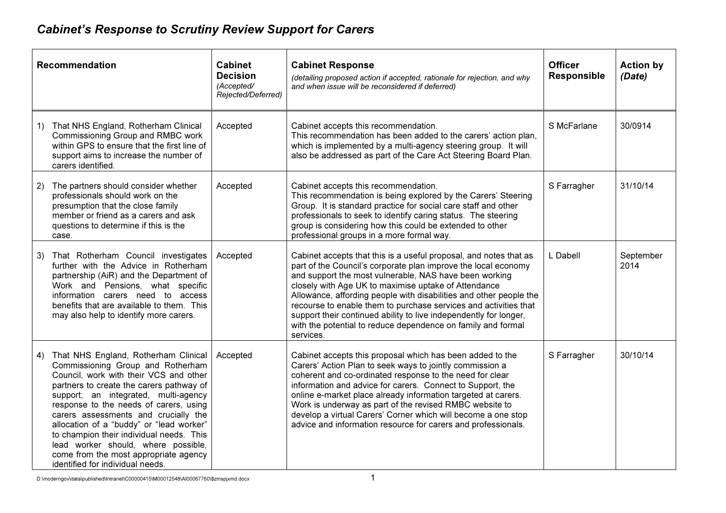## Cabinet's Response to Scrutiny Review Support for Carers

| <b>Recommendation</b>                                                                                                                                                                                                                                                                                                                                                                                                                                                                                       | <b>Cabinet</b><br><b>Decision</b><br>(Accepted/<br>Rejected/Deferred) | <b>Cabinet Response</b><br>(detailing proposed action if accepted, rationale for rejection, and why<br>and when issue will be reconsidered if deferred)                                                                                                                                                                                                                                                                                                                                                                                           | <b>Officer</b><br><b>Responsible</b> | <b>Action by</b><br>(Date) |
|-------------------------------------------------------------------------------------------------------------------------------------------------------------------------------------------------------------------------------------------------------------------------------------------------------------------------------------------------------------------------------------------------------------------------------------------------------------------------------------------------------------|-----------------------------------------------------------------------|---------------------------------------------------------------------------------------------------------------------------------------------------------------------------------------------------------------------------------------------------------------------------------------------------------------------------------------------------------------------------------------------------------------------------------------------------------------------------------------------------------------------------------------------------|--------------------------------------|----------------------------|
| That NHS England, Rotherham Clinical<br>1)<br>Commissioning Group and RMBC work<br>within GPS to ensure that the first line of<br>support aims to increase the number of<br>carers identified.                                                                                                                                                                                                                                                                                                              | Accepted                                                              | Cabinet accepts this recommendation.<br>This recommendation has been added to the carers' action plan,<br>which is implemented by a multi-agency steering group. It will<br>also be addressed as part of the Care Act Steering Board Plan.                                                                                                                                                                                                                                                                                                        | S McFarlane                          | 30/0914                    |
| The partners should consider whether<br>2)<br>professionals should work on the<br>presumption that the close family<br>member or friend as a carers and ask<br>questions to determine if this is the<br>case.                                                                                                                                                                                                                                                                                               | Accepted                                                              | Cabinet accepts this recommendation.<br>This recommendation is being explored by the Carers' Steering<br>Group. It is standard practice for social care staff and other<br>professionals to seek to identify caring status. The steering<br>group is considering how this could be extended to other<br>professional groups in a more formal way.                                                                                                                                                                                                 | S Farragher                          | 31/10/14                   |
| That Rotherham Council investigates<br>3)<br>further with the Advice in Rotherham<br>partnership (AiR) and the Department of<br>Work and Pensions, what specific<br>information carers need to access<br>benefits that are available to them. This<br>may also help to identify more carers.                                                                                                                                                                                                                | Accepted                                                              | Cabinet accepts that this is a useful proposal, and notes that as<br>part of the Council's corporate plan improve the local economy<br>and support the most vulnerable, NAS have been working<br>closely with Age UK to maximise uptake of Attendance<br>Allowance, affording people with disabilities and other people the<br>recourse to enable them to purchase services and activities that<br>support their continued ability to live independently for longer,<br>with the potential to reduce dependence on family and formal<br>services. | L Dabell                             | September<br>2014          |
| That NHS England, Rotherham Clinical<br>4)<br>Commissioning Group and Rotherham<br>Council, work with their VCS and other<br>partners to create the carers pathway of<br>support; an integrated, multi-agency<br>response to the needs of carers, using<br>carers assessments and crucially the<br>allocation of a "buddy" or "lead worker"<br>to champion their individual needs. This<br>lead worker should, where possible,<br>come from the most appropriate agency<br>identified for individual needs. | Accepted                                                              | Cabinet accepts this proposal which has been added to the<br>Carers' Action Plan to seek ways to jointly commission a<br>coherent and co-ordinated response to the need for clear<br>information and advice for carers. Connect to Support, the<br>online e-market place already information targeted at carers.<br>Work is underway as part of the revised RMBC website to<br>develop a virtual Carers' Corner which will become a one stop<br>advice and information resource for carers and professionals.                                     | S Farragher                          | 30/10/14                   |

D:\moderngov\data\published\Intranet\C00000415\M00012548\AI00067760\\$zmspjxmd.docx 1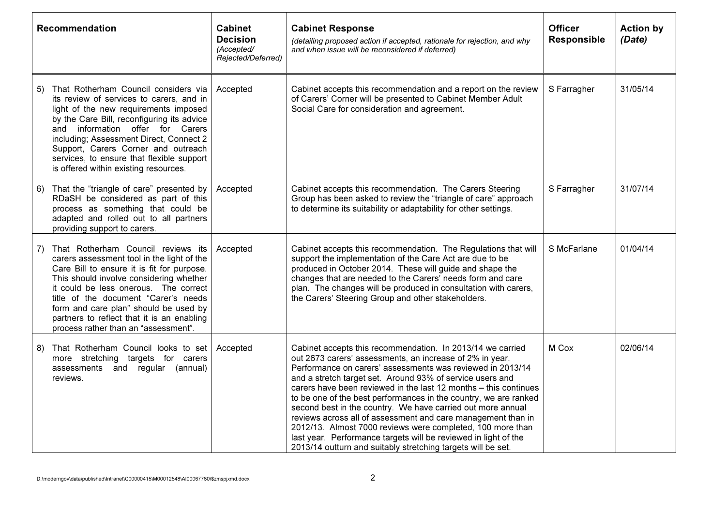| Recommendation |                                                                                                                                                                                                                                                                                                                                                                                           | <b>Cabinet</b><br><b>Decision</b><br>(Accepted/<br>Rejected/Deferred) | <b>Cabinet Response</b><br>(detailing proposed action if accepted, rationale for rejection, and why<br>and when issue will be reconsidered if deferred)                                                                                                                                                                                                                                                                                                                                                                                                                                                                                                                                                                   | <b>Officer</b><br><b>Responsible</b> | <b>Action by</b><br>(Date) |
|----------------|-------------------------------------------------------------------------------------------------------------------------------------------------------------------------------------------------------------------------------------------------------------------------------------------------------------------------------------------------------------------------------------------|-----------------------------------------------------------------------|---------------------------------------------------------------------------------------------------------------------------------------------------------------------------------------------------------------------------------------------------------------------------------------------------------------------------------------------------------------------------------------------------------------------------------------------------------------------------------------------------------------------------------------------------------------------------------------------------------------------------------------------------------------------------------------------------------------------------|--------------------------------------|----------------------------|
| 5)             | That Rotherham Council considers via<br>its review of services to carers, and in<br>light of the new requirements imposed<br>by the Care Bill, reconfiguring its advice<br>and information offer for Carers<br>including; Assessment Direct, Connect 2<br>Support, Carers Corner and outreach<br>services, to ensure that flexible support<br>is offered within existing resources.       | Accepted                                                              | Cabinet accepts this recommendation and a report on the review<br>of Carers' Corner will be presented to Cabinet Member Adult<br>Social Care for consideration and agreement.                                                                                                                                                                                                                                                                                                                                                                                                                                                                                                                                             | S Farragher                          | 31/05/14                   |
| 6)             | That the "triangle of care" presented by<br>RDaSH be considered as part of this<br>process as something that could be<br>adapted and rolled out to all partners<br>providing support to carers.                                                                                                                                                                                           | Accepted                                                              | Cabinet accepts this recommendation. The Carers Steering<br>Group has been asked to review the "triangle of care" approach<br>to determine its suitability or adaptability for other settings.                                                                                                                                                                                                                                                                                                                                                                                                                                                                                                                            | S Farragher                          | 31/07/14                   |
| 7)             | That Rotherham Council reviews its<br>carers assessment tool in the light of the<br>Care Bill to ensure it is fit for purpose.<br>This should involve considering whether<br>it could be less onerous. The correct<br>title of the document "Carer's needs<br>form and care plan" should be used by<br>partners to reflect that it is an enabling<br>process rather than an "assessment". | Accepted                                                              | Cabinet accepts this recommendation. The Regulations that will<br>support the implementation of the Care Act are due to be<br>produced in October 2014. These will guide and shape the<br>changes that are needed to the Carers' needs form and care<br>plan. The changes will be produced in consultation with carers,<br>the Carers' Steering Group and other stakeholders.                                                                                                                                                                                                                                                                                                                                             | S McFarlane                          | 01/04/14                   |
| 8)             | That Rotherham Council looks to set<br>more stretching targets for carers<br>assessments and regular (annual)<br>reviews.                                                                                                                                                                                                                                                                 | Accepted                                                              | Cabinet accepts this recommendation. In 2013/14 we carried<br>out 2673 carers' assessments, an increase of 2% in year.<br>Performance on carers' assessments was reviewed in 2013/14<br>and a stretch target set. Around 93% of service users and<br>carers have been reviewed in the last 12 months - this continues<br>to be one of the best performances in the country, we are ranked<br>second best in the country. We have carried out more annual<br>reviews across all of assessment and care management than in<br>2012/13. Almost 7000 reviews were completed, 100 more than<br>last year. Performance targets will be reviewed in light of the<br>2013/14 outturn and suitably stretching targets will be set. | M Cox                                | 02/06/14                   |